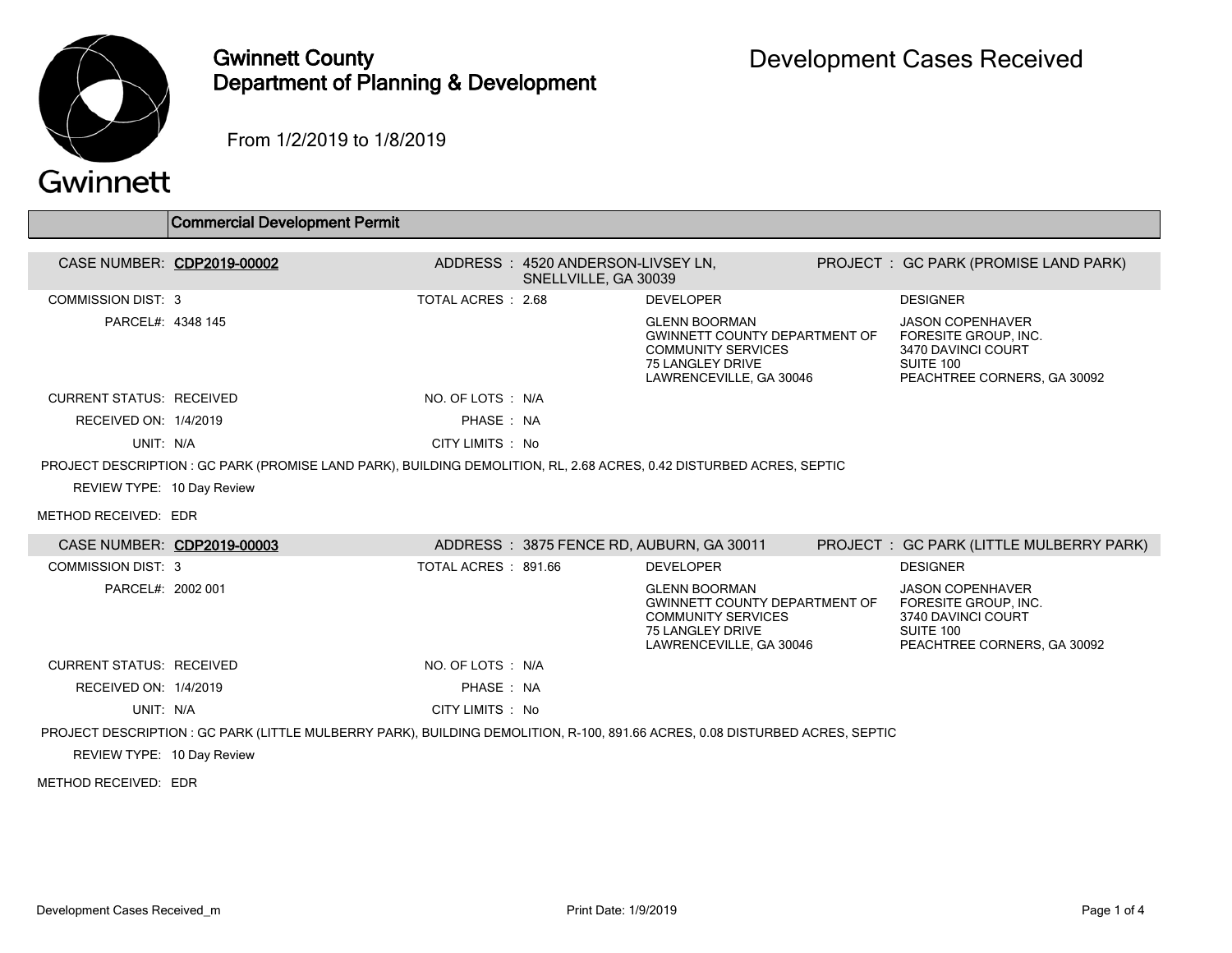

## Gwinnett County Department of Planning & Development

From 1/2/2019 to 1/8/2019

## Gwinnett

|                                 | <b>Commercial Development Permit</b>                                                                                         |                      |                                                           |                                                                                                                                          |                                                                                                                   |
|---------------------------------|------------------------------------------------------------------------------------------------------------------------------|----------------------|-----------------------------------------------------------|------------------------------------------------------------------------------------------------------------------------------------------|-------------------------------------------------------------------------------------------------------------------|
|                                 | CASE NUMBER: CDP2019-00002                                                                                                   |                      | ADDRESS: 4520 ANDERSON-LIVSEY LN,<br>SNELLVILLE, GA 30039 |                                                                                                                                          | PROJECT: GC PARK (PROMISE LAND PARK)                                                                              |
| <b>COMMISSION DIST: 3</b>       |                                                                                                                              | TOTAL ACRES: 2.68    |                                                           | <b>DEVELOPER</b>                                                                                                                         | <b>DESIGNER</b>                                                                                                   |
| PARCEL#: 4348 145               |                                                                                                                              |                      |                                                           | <b>GLENN BOORMAN</b><br><b>GWINNETT COUNTY DEPARTMENT OF</b><br><b>COMMUNITY SERVICES</b><br>75 LANGLEY DRIVE<br>LAWRENCEVILLE, GA 30046 | <b>JASON COPENHAVER</b><br>FORESITE GROUP. INC.<br>3470 DAVINCI COURT<br>SUITE 100<br>PEACHTREE CORNERS, GA 30092 |
| <b>CURRENT STATUS: RECEIVED</b> |                                                                                                                              | NO. OF LOTS : N/A    |                                                           |                                                                                                                                          |                                                                                                                   |
| RECEIVED ON: 1/4/2019           |                                                                                                                              | PHASE: NA            |                                                           |                                                                                                                                          |                                                                                                                   |
| UNIT: N/A                       |                                                                                                                              | CITY LIMITS : No     |                                                           |                                                                                                                                          |                                                                                                                   |
|                                 | PROJECT DESCRIPTION: GC PARK (PROMISE LAND PARK), BUILDING DEMOLITION, RL, 2.68 ACRES, 0.42 DISTURBED ACRES, SEPTIC          |                      |                                                           |                                                                                                                                          |                                                                                                                   |
| REVIEW TYPE: 10 Day Review      |                                                                                                                              |                      |                                                           |                                                                                                                                          |                                                                                                                   |
| METHOD RECEIVED: EDR            |                                                                                                                              |                      |                                                           |                                                                                                                                          |                                                                                                                   |
|                                 | CASE NUMBER: CDP2019-00003                                                                                                   |                      |                                                           | ADDRESS: 3875 FENCE RD, AUBURN, GA 30011                                                                                                 | PROJECT : GC PARK (LITTLE MULBERRY PARK)                                                                          |
| <b>COMMISSION DIST: 3</b>       |                                                                                                                              | TOTAL ACRES : 891.66 |                                                           | <b>DEVELOPER</b>                                                                                                                         | <b>DESIGNER</b>                                                                                                   |
| PARCEL#: 2002 001               |                                                                                                                              |                      |                                                           | <b>GLENN BOORMAN</b><br><b>GWINNETT COUNTY DEPARTMENT OF</b><br><b>COMMUNITY SERVICES</b><br>75 LANGLEY DRIVE<br>LAWRENCEVILLE, GA 30046 | <b>JASON COPENHAVER</b><br>FORESITE GROUP. INC.<br>3740 DAVINCI COURT<br>SUITE 100<br>PEACHTREE CORNERS, GA 30092 |
| <b>CURRENT STATUS: RECEIVED</b> |                                                                                                                              | NO. OF LOTS : N/A    |                                                           |                                                                                                                                          |                                                                                                                   |
| RECEIVED ON: 1/4/2019           |                                                                                                                              | PHASE: NA            |                                                           |                                                                                                                                          |                                                                                                                   |
| UNIT: N/A                       |                                                                                                                              | CITY LIMITS : No     |                                                           |                                                                                                                                          |                                                                                                                   |
| REVIEW TYPE: 10 Day Review      | PROJECT DESCRIPTION : GC PARK (LITTLE MULBERRY PARK), BUILDING DEMOLITION, R-100, 891.66 ACRES, 0.08 DISTURBED ACRES, SEPTIC |                      |                                                           |                                                                                                                                          |                                                                                                                   |
| METHOD RECEIVED: EDR            |                                                                                                                              |                      |                                                           |                                                                                                                                          |                                                                                                                   |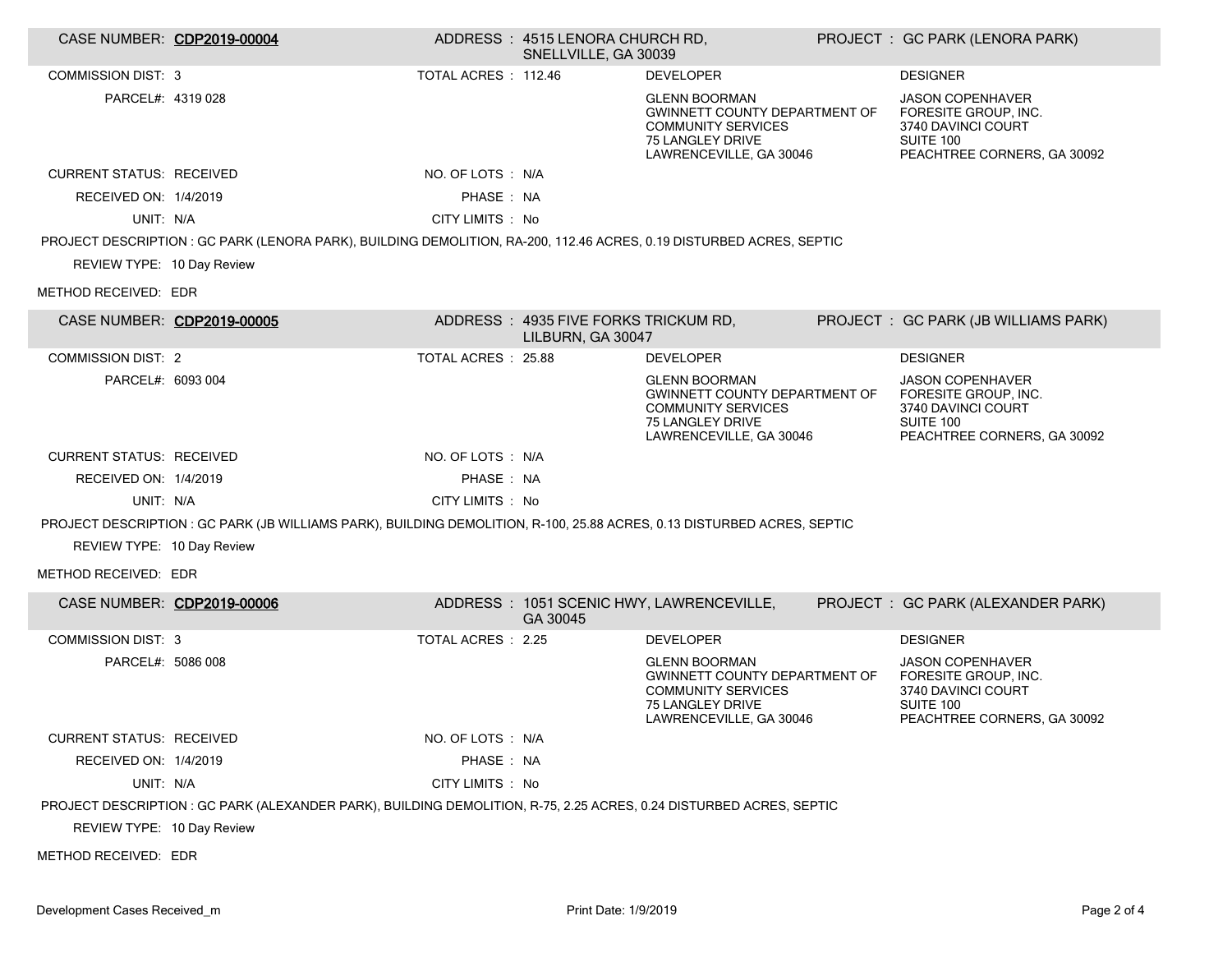| CASE NUMBER: CDP2019-00004      |                                                                                                                         |                     | ADDRESS: 4515 LENORA CHURCH RD,<br>SNELLVILLE, GA 30039    |                                                                                                                                                 | PROJECT: GC PARK (LENORA PARK)                                                                                           |
|---------------------------------|-------------------------------------------------------------------------------------------------------------------------|---------------------|------------------------------------------------------------|-------------------------------------------------------------------------------------------------------------------------------------------------|--------------------------------------------------------------------------------------------------------------------------|
| <b>COMMISSION DIST: 3</b>       |                                                                                                                         | TOTAL ACRES: 112.46 |                                                            | <b>DEVELOPER</b>                                                                                                                                | <b>DESIGNER</b>                                                                                                          |
| PARCEL#: 4319 028               |                                                                                                                         |                     |                                                            | <b>GLENN BOORMAN</b><br><b>GWINNETT COUNTY DEPARTMENT OF</b><br><b>COMMUNITY SERVICES</b><br><b>75 LANGLEY DRIVE</b><br>LAWRENCEVILLE, GA 30046 | <b>JASON COPENHAVER</b><br>FORESITE GROUP, INC.<br>3740 DAVINCI COURT<br><b>SUITE 100</b><br>PEACHTREE CORNERS, GA 30092 |
| <b>CURRENT STATUS: RECEIVED</b> |                                                                                                                         | NO. OF LOTS : N/A   |                                                            |                                                                                                                                                 |                                                                                                                          |
| RECEIVED ON: 1/4/2019           |                                                                                                                         | PHASE: NA           |                                                            |                                                                                                                                                 |                                                                                                                          |
| UNIT: N/A                       |                                                                                                                         | CITY LIMITS: No     |                                                            |                                                                                                                                                 |                                                                                                                          |
|                                 | PROJECT DESCRIPTION: GC PARK (LENORA PARK), BUILDING DEMOLITION, RA-200, 112.46 ACRES, 0.19 DISTURBED ACRES, SEPTIC     |                     |                                                            |                                                                                                                                                 |                                                                                                                          |
| REVIEW TYPE: 10 Day Review      |                                                                                                                         |                     |                                                            |                                                                                                                                                 |                                                                                                                          |
| METHOD RECEIVED: EDR            |                                                                                                                         |                     |                                                            |                                                                                                                                                 |                                                                                                                          |
| CASE NUMBER: CDP2019-00005      |                                                                                                                         |                     | ADDRESS : 4935 FIVE FORKS TRICKUM RD,<br>LILBURN, GA 30047 |                                                                                                                                                 | PROJECT : GC PARK (JB WILLIAMS PARK)                                                                                     |
| <b>COMMISSION DIST: 2</b>       |                                                                                                                         | TOTAL ACRES : 25.88 |                                                            | <b>DEVELOPER</b>                                                                                                                                | <b>DESIGNER</b>                                                                                                          |
| PARCEL#: 6093 004               |                                                                                                                         |                     |                                                            | <b>GLENN BOORMAN</b><br><b>GWINNETT COUNTY DEPARTMENT OF</b><br><b>COMMUNITY SERVICES</b><br>75 LANGLEY DRIVE<br>LAWRENCEVILLE, GA 30046        | <b>JASON COPENHAVER</b><br>FORESITE GROUP. INC.<br>3740 DAVINCI COURT<br>SUITE 100<br>PEACHTREE CORNERS, GA 30092        |
| <b>CURRENT STATUS: RECEIVED</b> |                                                                                                                         | NO. OF LOTS : N/A   |                                                            |                                                                                                                                                 |                                                                                                                          |
| RECEIVED ON: 1/4/2019           |                                                                                                                         | PHASE: NA           |                                                            |                                                                                                                                                 |                                                                                                                          |
| UNIT: N/A                       |                                                                                                                         | CITY LIMITS : No    |                                                            |                                                                                                                                                 |                                                                                                                          |
|                                 | PROJECT DESCRIPTION : GC PARK (JB WILLIAMS PARK), BUILDING DEMOLITION, R-100, 25.88 ACRES, 0.13 DISTURBED ACRES, SEPTIC |                     |                                                            |                                                                                                                                                 |                                                                                                                          |
| REVIEW TYPE: 10 Day Review      |                                                                                                                         |                     |                                                            |                                                                                                                                                 |                                                                                                                          |
| METHOD RECEIVED: EDR            |                                                                                                                         |                     |                                                            |                                                                                                                                                 |                                                                                                                          |
| CASE NUMBER: CDP2019-00006      |                                                                                                                         |                     | GA 30045                                                   | ADDRESS: 1051 SCENIC HWY, LAWRENCEVILLE,                                                                                                        | PROJECT : GC PARK (ALEXANDER PARK)                                                                                       |
| <b>COMMISSION DIST: 3</b>       |                                                                                                                         | TOTAL ACRES : 2.25  |                                                            | <b>DEVELOPER</b>                                                                                                                                | <b>DESIGNER</b>                                                                                                          |
| PARCEL#: 5086 008               |                                                                                                                         |                     |                                                            | <b>GLENN BOORMAN</b><br><b>GWINNETT COUNTY DEPARTMENT OF</b><br><b>COMMUNITY SERVICES</b><br>75 LANGLEY DRIVE<br>LAWRENCEVILLE, GA 30046        | <b>JASON COPENHAVER</b><br>FORESITE GROUP, INC.<br>3740 DAVINCI COURT<br>SUITE 100<br>PEACHTREE CORNERS, GA 30092        |
| <b>CURRENT STATUS: RECEIVED</b> |                                                                                                                         | NO. OF LOTS : N/A   |                                                            |                                                                                                                                                 |                                                                                                                          |
| RECEIVED ON: 1/4/2019           |                                                                                                                         | PHASE: NA           |                                                            |                                                                                                                                                 |                                                                                                                          |
| UNIT: N/A                       |                                                                                                                         | CITY LIMITS : No    |                                                            |                                                                                                                                                 |                                                                                                                          |
|                                 | PROJECT DESCRIPTION : GC PARK (ALEXANDER PARK), BUILDING DEMOLITION, R-75, 2.25 ACRES, 0.24 DISTURBED ACRES, SEPTIC     |                     |                                                            |                                                                                                                                                 |                                                                                                                          |
| REVIEW TYPE: 10 Day Review      |                                                                                                                         |                     |                                                            |                                                                                                                                                 |                                                                                                                          |
| METHOD RECEIVED: EDR            |                                                                                                                         |                     |                                                            |                                                                                                                                                 |                                                                                                                          |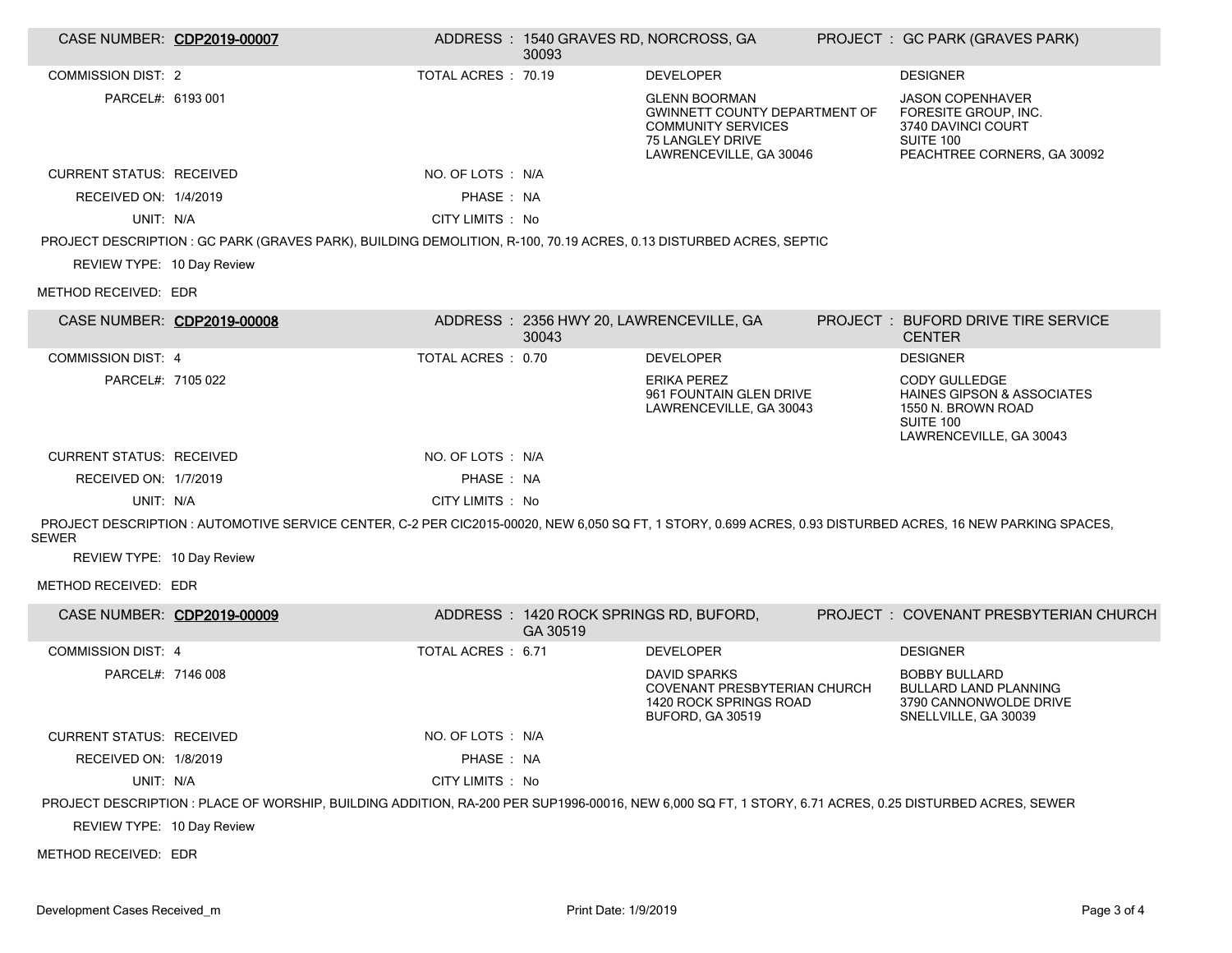| CASE NUMBER: CDP2019-00007      |                                                                                                                                                            |                     | ADDRESS: 1540 GRAVES RD, NORCROSS, GA<br>30093     |                                                                                                                                          | PROJECT : GC PARK (GRAVES PARK)                                                                                                    |
|---------------------------------|------------------------------------------------------------------------------------------------------------------------------------------------------------|---------------------|----------------------------------------------------|------------------------------------------------------------------------------------------------------------------------------------------|------------------------------------------------------------------------------------------------------------------------------------|
| <b>COMMISSION DIST: 2</b>       |                                                                                                                                                            | TOTAL ACRES : 70.19 |                                                    | <b>DEVELOPER</b>                                                                                                                         | <b>DESIGNER</b>                                                                                                                    |
| PARCEL#: 6193 001               |                                                                                                                                                            |                     |                                                    | <b>GLENN BOORMAN</b><br><b>GWINNETT COUNTY DEPARTMENT OF</b><br><b>COMMUNITY SERVICES</b><br>75 LANGLEY DRIVE<br>LAWRENCEVILLE, GA 30046 | <b>JASON COPENHAVER</b><br>FORESITE GROUP, INC.<br>3740 DAVINCI COURT<br>SUITE 100<br>PEACHTREE CORNERS, GA 30092                  |
| <b>CURRENT STATUS: RECEIVED</b> |                                                                                                                                                            | NO. OF LOTS : N/A   |                                                    |                                                                                                                                          |                                                                                                                                    |
| RECEIVED ON: 1/4/2019           |                                                                                                                                                            | PHASE: NA           |                                                    |                                                                                                                                          |                                                                                                                                    |
| UNIT: N/A                       |                                                                                                                                                            | CITY LIMITS : No    |                                                    |                                                                                                                                          |                                                                                                                                    |
|                                 | PROJECT DESCRIPTION : GC PARK (GRAVES PARK), BUILDING DEMOLITION, R-100, 70.19 ACRES, 0.13 DISTURBED ACRES, SEPTIC                                         |                     |                                                    |                                                                                                                                          |                                                                                                                                    |
| REVIEW TYPE: 10 Day Review      |                                                                                                                                                            |                     |                                                    |                                                                                                                                          |                                                                                                                                    |
| METHOD RECEIVED: EDR            |                                                                                                                                                            |                     |                                                    |                                                                                                                                          |                                                                                                                                    |
| CASE NUMBER: CDP2019-00008      |                                                                                                                                                            |                     | ADDRESS: 2356 HWY 20, LAWRENCEVILLE, GA<br>30043   |                                                                                                                                          | PROJECT: BUFORD DRIVE TIRE SERVICE<br><b>CENTER</b>                                                                                |
| <b>COMMISSION DIST: 4</b>       |                                                                                                                                                            | TOTAL ACRES: 0.70   |                                                    | <b>DEVELOPER</b>                                                                                                                         | <b>DESIGNER</b>                                                                                                                    |
| PARCEL#: 7105 022               |                                                                                                                                                            |                     |                                                    | <b>ERIKA PEREZ</b><br>961 FOUNTAIN GLEN DRIVE<br>LAWRENCEVILLE, GA 30043                                                                 | <b>CODY GULLEDGE</b><br><b>HAINES GIPSON &amp; ASSOCIATES</b><br>1550 N. BROWN ROAD<br><b>SUITE 100</b><br>LAWRENCEVILLE, GA 30043 |
| <b>CURRENT STATUS: RECEIVED</b> |                                                                                                                                                            | NO. OF LOTS : N/A   |                                                    |                                                                                                                                          |                                                                                                                                    |
| RECEIVED ON: 1/7/2019           |                                                                                                                                                            | PHASE: NA           |                                                    |                                                                                                                                          |                                                                                                                                    |
| UNIT: N/A                       |                                                                                                                                                            | CITY LIMITS : No    |                                                    |                                                                                                                                          |                                                                                                                                    |
| SEWER                           | PROJECT DESCRIPTION: AUTOMOTIVE SERVICE CENTER, C-2 PER CIC2015-00020, NEW 6,050 SQ FT, 1 STORY, 0.699 ACRES, 0.93 DISTURBED ACRES, 16 NEW PARKING SPACES, |                     |                                                    |                                                                                                                                          |                                                                                                                                    |
| REVIEW TYPE: 10 Day Review      |                                                                                                                                                            |                     |                                                    |                                                                                                                                          |                                                                                                                                    |
| METHOD RECEIVED: EDR            |                                                                                                                                                            |                     |                                                    |                                                                                                                                          |                                                                                                                                    |
| CASE NUMBER: CDP2019-00009      |                                                                                                                                                            |                     | ADDRESS: 1420 ROCK SPRINGS RD, BUFORD,<br>GA 30519 |                                                                                                                                          | PROJECT: COVENANT PRESBYTERIAN CHURCH                                                                                              |
| <b>COMMISSION DIST: 4</b>       |                                                                                                                                                            | TOTAL ACRES : 6.71  |                                                    | <b>DEVELOPER</b>                                                                                                                         | <b>DESIGNER</b>                                                                                                                    |
| PARCEL#: 7146 008               |                                                                                                                                                            |                     |                                                    | <b>DAVID SPARKS</b><br>COVENANT PRESBYTERIAN CHURCH<br>1420 ROCK SPRINGS ROAD<br>BUFORD, GA 30519                                        | <b>BOBBY BULLARD</b><br><b>BULLARD LAND PLANNING</b><br>3790 CANNONWOLDE DRIVE<br>SNELLVILLE, GA 30039                             |
| <b>CURRENT STATUS: RECEIVED</b> |                                                                                                                                                            | NO. OF LOTS : N/A   |                                                    |                                                                                                                                          |                                                                                                                                    |
| RECEIVED ON: 1/8/2019           |                                                                                                                                                            | PHASE : NA          |                                                    |                                                                                                                                          |                                                                                                                                    |
| UNIT: N/A                       |                                                                                                                                                            | CITY LIMITS : No    |                                                    |                                                                                                                                          |                                                                                                                                    |
|                                 | PROJECT DESCRIPTION : PLACE OF WORSHIP, BUILDING ADDITION, RA-200 PER SUP1996-00016, NEW 6,000 SQ FT, 1 STORY, 6.71 ACRES, 0.25 DISTURBED ACRES, SEWER     |                     |                                                    |                                                                                                                                          |                                                                                                                                    |
| REVIEW TYPE: 10 Day Review      |                                                                                                                                                            |                     |                                                    |                                                                                                                                          |                                                                                                                                    |

METHOD RECEIVED: EDR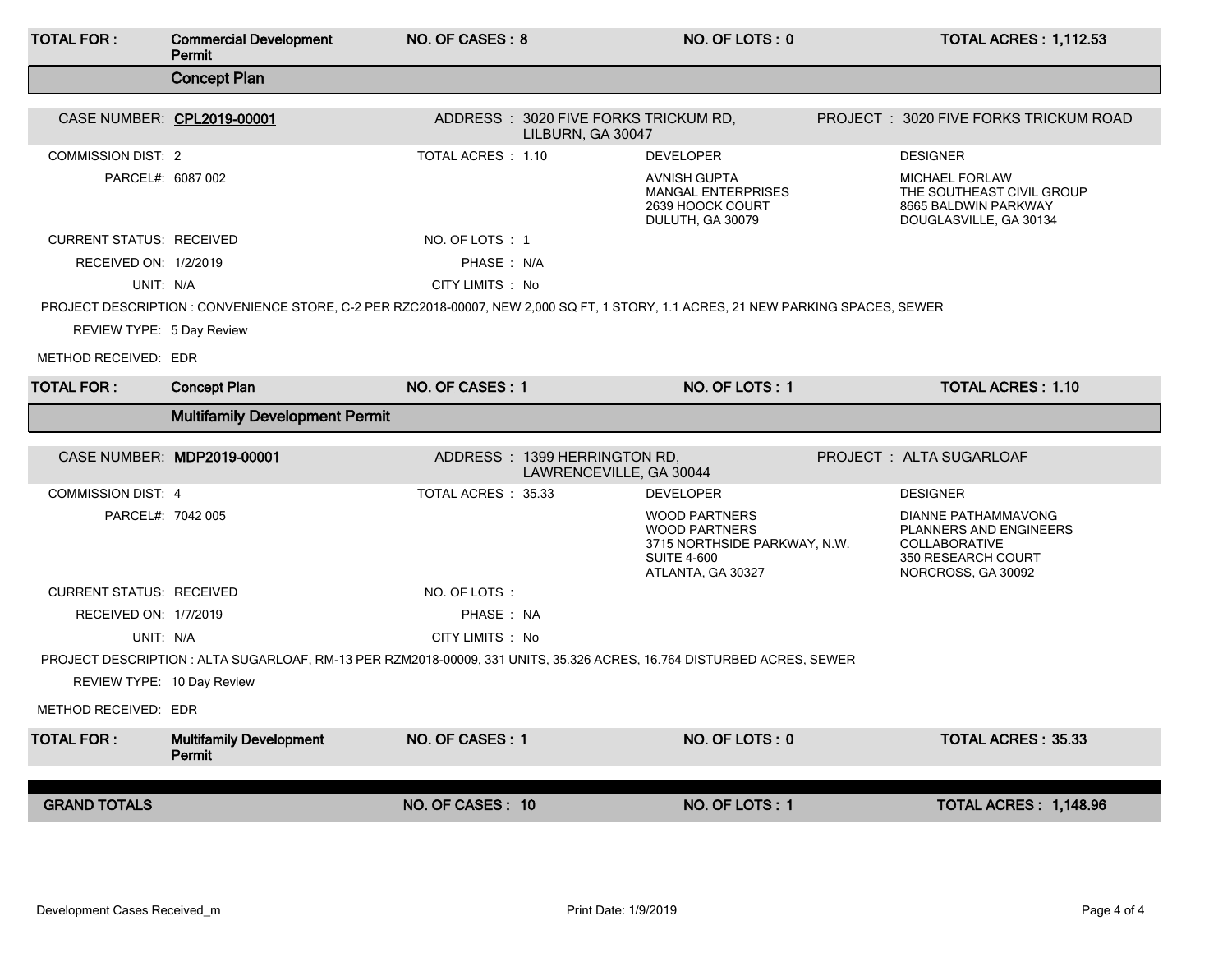| <b>TOTAL FOR:</b>               | <b>Commercial Development</b><br><b>Permit</b>                                                                                    | NO. OF CASES: 8     |                                                           | NO. OF LOTS: 0                                                                                                          | <b>TOTAL ACRES: 1,112.53</b>                                                                                             |
|---------------------------------|-----------------------------------------------------------------------------------------------------------------------------------|---------------------|-----------------------------------------------------------|-------------------------------------------------------------------------------------------------------------------------|--------------------------------------------------------------------------------------------------------------------------|
|                                 | <b>Concept Plan</b>                                                                                                               |                     |                                                           |                                                                                                                         |                                                                                                                          |
| CASE NUMBER: CPL2019-00001      |                                                                                                                                   |                     | ADDRESS: 3020 FIVE FORKS TRICKUM RD,<br>LILBURN, GA 30047 |                                                                                                                         | PROJECT: 3020 FIVE FORKS TRICKUM ROAD                                                                                    |
| <b>COMMISSION DIST: 2</b>       |                                                                                                                                   | TOTAL ACRES : 1.10  |                                                           | <b>DEVELOPER</b>                                                                                                        | <b>DESIGNER</b>                                                                                                          |
| PARCEL#: 6087 002               |                                                                                                                                   |                     |                                                           | <b>AVNISH GUPTA</b><br><b>MANGAL ENTERPRISES</b><br>2639 HOOCK COURT<br>DULUTH, GA 30079                                | <b>MICHAEL FORLAW</b><br>THE SOUTHEAST CIVIL GROUP<br>8665 BALDWIN PARKWAY<br>DOUGLASVILLE, GA 30134                     |
| <b>CURRENT STATUS: RECEIVED</b> |                                                                                                                                   | NO. OF LOTS: 1      |                                                           |                                                                                                                         |                                                                                                                          |
| RECEIVED ON: 1/2/2019           |                                                                                                                                   | PHASE: N/A          |                                                           |                                                                                                                         |                                                                                                                          |
| UNIT: N/A                       |                                                                                                                                   | CITY LIMITS : No    |                                                           |                                                                                                                         |                                                                                                                          |
|                                 | PROJECT DESCRIPTION : CONVENIENCE STORE, C-2 PER RZC2018-00007, NEW 2,000 SQ FT, 1 STORY, 1.1 ACRES, 21 NEW PARKING SPACES, SEWER |                     |                                                           |                                                                                                                         |                                                                                                                          |
| REVIEW TYPE: 5 Day Review       |                                                                                                                                   |                     |                                                           |                                                                                                                         |                                                                                                                          |
| METHOD RECEIVED: EDR            |                                                                                                                                   |                     |                                                           |                                                                                                                         |                                                                                                                          |
| <b>TOTAL FOR:</b>               | <b>Concept Plan</b>                                                                                                               | NO. OF CASES: 1     |                                                           | NO. OF LOTS: 1                                                                                                          | <b>TOTAL ACRES: 1.10</b>                                                                                                 |
|                                 | <b>Multifamily Development Permit</b>                                                                                             |                     |                                                           |                                                                                                                         |                                                                                                                          |
|                                 | CASE NUMBER: MDP2019-00001                                                                                                        |                     | ADDRESS: 1399 HERRINGTON RD.<br>LAWRENCEVILLE, GA 30044   |                                                                                                                         | PROJECT: ALTA SUGARLOAF                                                                                                  |
| <b>COMMISSION DIST: 4</b>       |                                                                                                                                   | TOTAL ACRES : 35.33 |                                                           | <b>DEVELOPER</b>                                                                                                        | <b>DESIGNER</b>                                                                                                          |
| PARCEL#: 7042 005               |                                                                                                                                   |                     |                                                           | <b>WOOD PARTNERS</b><br><b>WOOD PARTNERS</b><br>3715 NORTHSIDE PARKWAY, N.W.<br><b>SUITE 4-600</b><br>ATLANTA, GA 30327 | <b>DIANNE PATHAMMAVONG</b><br>PLANNERS AND ENGINEERS<br><b>COLLABORATIVE</b><br>350 RESEARCH COURT<br>NORCROSS, GA 30092 |
| <b>CURRENT STATUS: RECEIVED</b> |                                                                                                                                   | NO. OF LOTS:        |                                                           |                                                                                                                         |                                                                                                                          |
| RECEIVED ON: 1/7/2019           |                                                                                                                                   | PHASE: NA           |                                                           |                                                                                                                         |                                                                                                                          |
| UNIT: N/A                       |                                                                                                                                   | CITY LIMITS : No    |                                                           |                                                                                                                         |                                                                                                                          |
|                                 | PROJECT DESCRIPTION : ALTA SUGARLOAF, RM-13 PER RZM2018-00009, 331 UNITS, 35.326 ACRES, 16.764 DISTURBED ACRES, SEWER             |                     |                                                           |                                                                                                                         |                                                                                                                          |
| REVIEW TYPE: 10 Day Review      |                                                                                                                                   |                     |                                                           |                                                                                                                         |                                                                                                                          |
| METHOD RECEIVED: EDR            |                                                                                                                                   |                     |                                                           |                                                                                                                         |                                                                                                                          |
| <b>TOTAL FOR:</b>               | <b>Multifamily Development</b><br>Permit                                                                                          | NO. OF CASES: 1     |                                                           | NO. OF LOTS: 0                                                                                                          | <b>TOTAL ACRES: 35.33</b>                                                                                                |
| <b>GRAND TOTALS</b>             |                                                                                                                                   | NO. OF CASES: 10    |                                                           | NO. OF LOTS: 1                                                                                                          | TOTAL ACRES: 1,148.96                                                                                                    |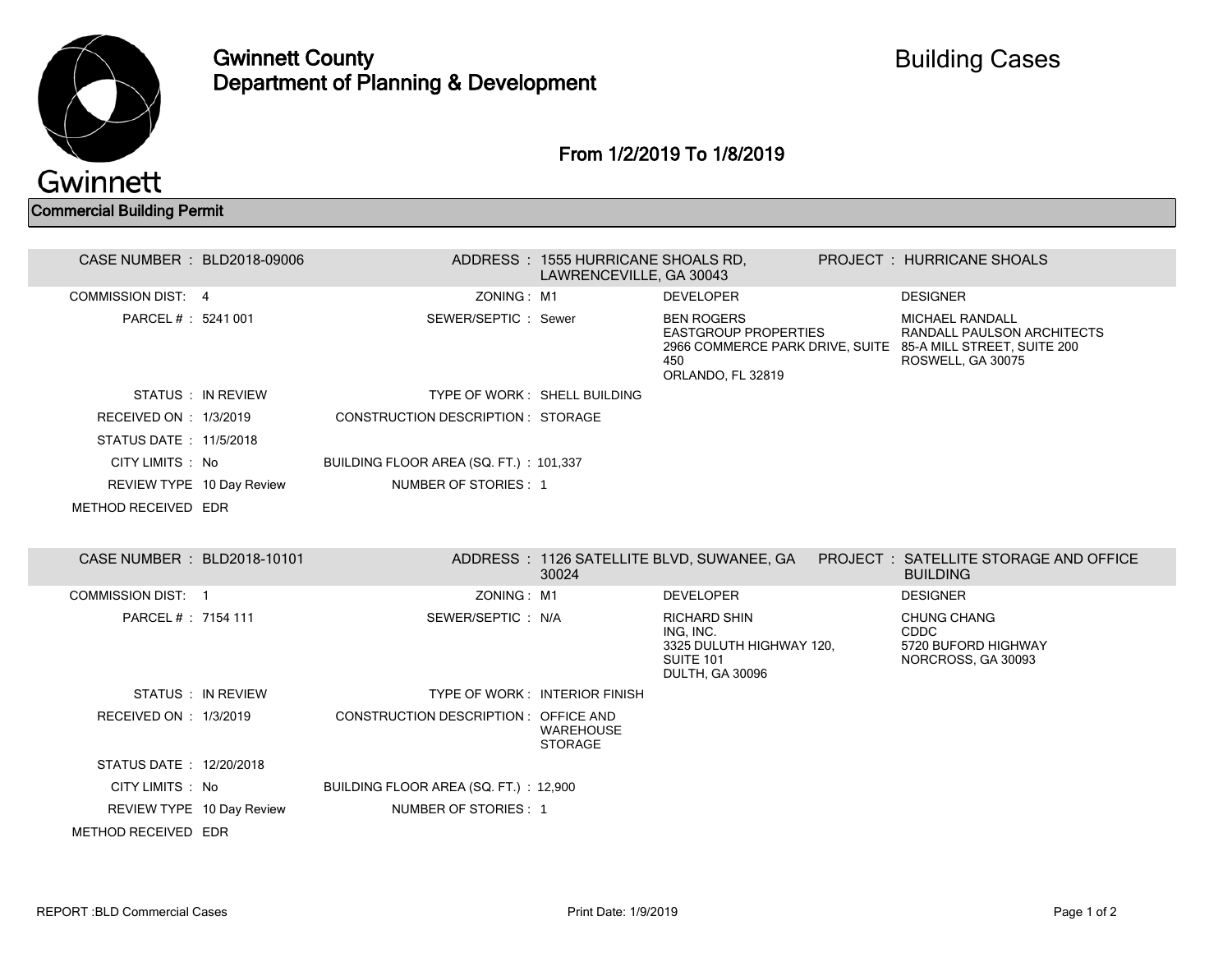

Gwinnett County Department of Planning & Development

From 1/2/2019 To 1/8/2019

Commercial Building Permit

| CASE NUMBER : BLD2018-09006                      |                                        | ADDRESS: 1555 HURRICANE SHOALS RD,<br>LAWRENCEVILLE, GA 30043 |                                                                                                     | PROJECT: HURRICANE SHOALS                                                                                                                |  |
|--------------------------------------------------|----------------------------------------|---------------------------------------------------------------|-----------------------------------------------------------------------------------------------------|------------------------------------------------------------------------------------------------------------------------------------------|--|
| <b>COMMISSION DIST: 4</b>                        | ZONING: M1                             |                                                               | <b>DEVELOPER</b>                                                                                    | <b>DESIGNER</b>                                                                                                                          |  |
| PARCEL #: 5241 001                               | SEWER/SEPTIC: Sewer                    |                                                               | <b>BEN ROGERS</b><br><b>EASTGROUP PROPERTIES</b><br>450<br>ORLANDO, FL 32819                        | <b>MICHAEL RANDALL</b><br>RANDALL PAULSON ARCHITECTS<br>2966 COMMERCE PARK DRIVE, SUITE 85-A MILL STREET, SUITE 200<br>ROSWELL, GA 30075 |  |
| STATUS: IN REVIEW                                |                                        | TYPE OF WORK: SHELL BUILDING                                  |                                                                                                     |                                                                                                                                          |  |
| RECEIVED ON : 1/3/2019<br>STATUS DATE: 11/5/2018 | CONSTRUCTION DESCRIPTION : STORAGE     |                                                               |                                                                                                     |                                                                                                                                          |  |
| CITY LIMITS : No                                 | BUILDING FLOOR AREA (SQ. FT.): 101,337 |                                                               |                                                                                                     |                                                                                                                                          |  |
| REVIEW TYPE 10 Day Review                        | NUMBER OF STORIES: 1                   |                                                               |                                                                                                     |                                                                                                                                          |  |
| METHOD RECEIVED EDR                              |                                        |                                                               |                                                                                                     |                                                                                                                                          |  |
|                                                  |                                        |                                                               |                                                                                                     |                                                                                                                                          |  |
| CASE NUMBER : BLD2018-10101                      |                                        | 30024                                                         |                                                                                                     | ADDRESS: 1126 SATELLITE BLVD, SUWANEE, GA PROJECT: SATELLITE STORAGE AND OFFICE<br><b>BUILDING</b>                                       |  |
| COMMISSION DIST: 1                               | ZONING: M1                             |                                                               | <b>DEVELOPER</b>                                                                                    | <b>DESIGNER</b>                                                                                                                          |  |
| PARCEL # : 7154 111                              | SEWER/SEPTIC: N/A                      |                                                               | <b>RICHARD SHIN</b><br>ING. INC.<br>3325 DULUTH HIGHWAY 120,<br><b>SUITE 101</b><br>DULTH, GA 30096 | <b>CHUNG CHANG</b><br><b>CDDC</b><br>5720 BUFORD HIGHWAY<br>NORCROSS, GA 30093                                                           |  |
| STATUS : IN REVIEW                               |                                        | TYPE OF WORK: INTERIOR FINISH                                 |                                                                                                     |                                                                                                                                          |  |
| RECEIVED ON : 1/3/2019                           | CONSTRUCTION DESCRIPTION : OFFICE AND  | <b>WAREHOUSE</b><br><b>STORAGE</b>                            |                                                                                                     |                                                                                                                                          |  |
| STATUS DATE: 12/20/2018                          |                                        |                                                               |                                                                                                     |                                                                                                                                          |  |
| CITY LIMITS : No                                 | BUILDING FLOOR AREA (SQ. FT.) : 12,900 |                                                               |                                                                                                     |                                                                                                                                          |  |
| REVIEW TYPE 10 Day Review                        | NUMBER OF STORIES: 1                   |                                                               |                                                                                                     |                                                                                                                                          |  |
| METHOD RECEIVED EDR                              |                                        |                                                               |                                                                                                     |                                                                                                                                          |  |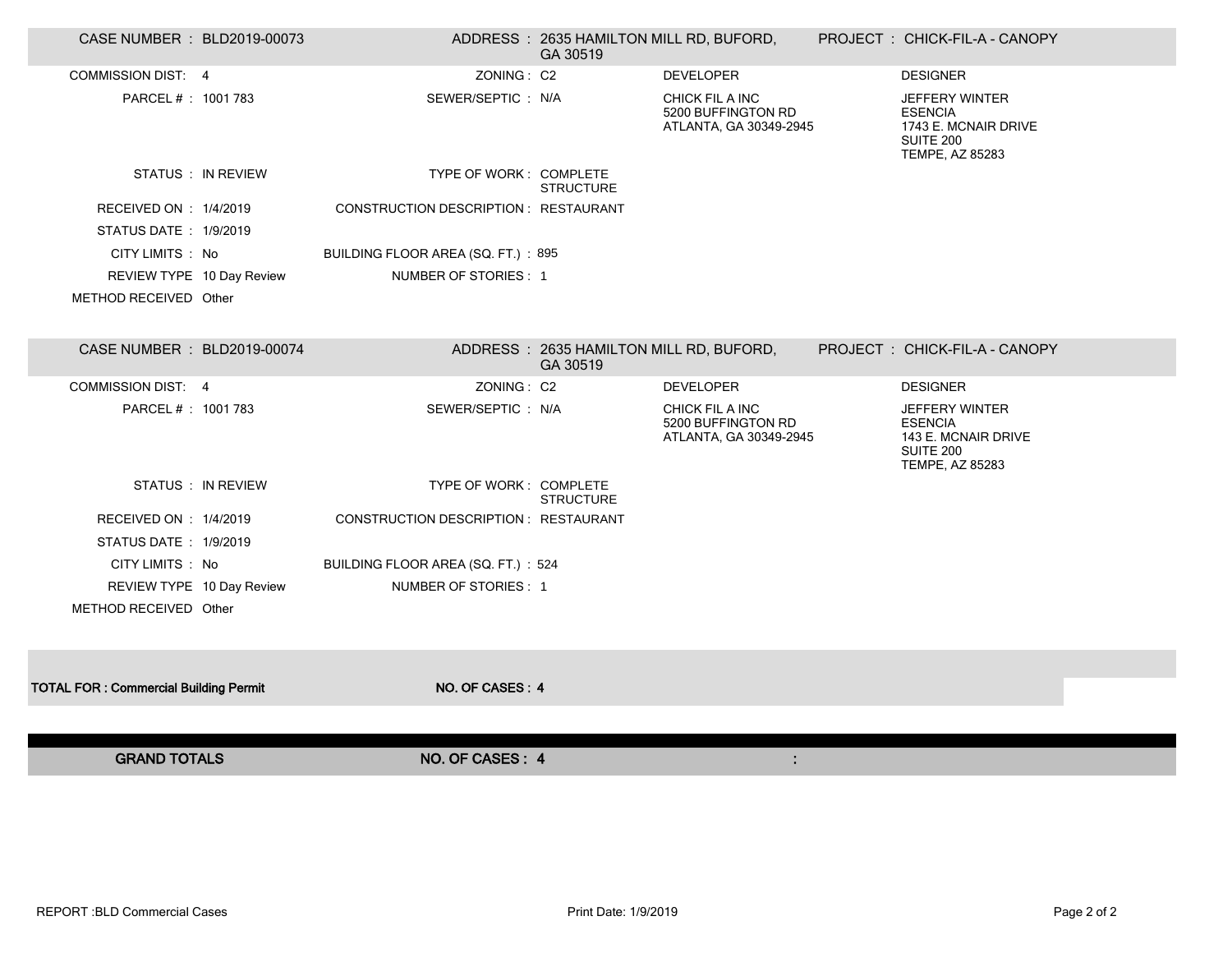| CASE NUMBER : BLD2019-00073                  |                           |                                       | ADDRESS: 2635 HAMILTON MILL RD, BUFORD,<br>GA 30519 |                                                                 | PROJECT: CHICK-FIL-A - CANOPY                                                                   |  |
|----------------------------------------------|---------------------------|---------------------------------------|-----------------------------------------------------|-----------------------------------------------------------------|-------------------------------------------------------------------------------------------------|--|
| <b>COMMISSION DIST: 4</b>                    |                           | ZONING: C2                            |                                                     | <b>DEVELOPER</b>                                                | <b>DESIGNER</b>                                                                                 |  |
| PARCEL #: 1001 783                           |                           | SEWER/SEPTIC : N/A                    |                                                     | CHICK FIL A INC<br>5200 BUFFINGTON RD<br>ATLANTA, GA 30349-2945 | <b>JEFFERY WINTER</b><br><b>ESENCIA</b><br>1743 E. MCNAIR DRIVE<br>SUITE 200<br>TEMPE, AZ 85283 |  |
|                                              | STATUS : IN REVIEW        | TYPE OF WORK: COMPLETE                | <b>STRUCTURE</b>                                    |                                                                 |                                                                                                 |  |
| RECEIVED ON : 1/4/2019                       |                           | CONSTRUCTION DESCRIPTION : RESTAURANT |                                                     |                                                                 |                                                                                                 |  |
| STATUS DATE: 1/9/2019                        |                           |                                       |                                                     |                                                                 |                                                                                                 |  |
| CITY LIMITS : No                             |                           | BUILDING FLOOR AREA (SQ. FT.): 895    |                                                     |                                                                 |                                                                                                 |  |
|                                              | REVIEW TYPE 10 Day Review | NUMBER OF STORIES: 1                  |                                                     |                                                                 |                                                                                                 |  |
| METHOD RECEIVED Other                        |                           |                                       |                                                     |                                                                 |                                                                                                 |  |
| CASE NUMBER : BLD2019-00074                  |                           |                                       | ADDRESS: 2635 HAMILTON MILL RD, BUFORD,<br>GA 30519 |                                                                 | PROJECT : CHICK-FIL-A - CANOPY                                                                  |  |
| <b>COMMISSION DIST: 4</b>                    |                           | ZONING: C2                            |                                                     | <b>DEVELOPER</b>                                                | <b>DESIGNER</b>                                                                                 |  |
| PARCEL # : 1001 783                          |                           | SEWER/SEPTIC: N/A                     |                                                     | CHICK FIL A INC<br>5200 BUFFINGTON RD<br>ATLANTA, GA 30349-2945 | <b>JEFFERY WINTER</b><br><b>ESENCIA</b><br>143 E. MCNAIR DRIVE<br>SUITE 200<br>TEMPE, AZ 85283  |  |
|                                              | STATUS : IN REVIEW        | TYPE OF WORK: COMPLETE                | <b>STRUCTURE</b>                                    |                                                                 |                                                                                                 |  |
| RECEIVED ON : 1/4/2019                       |                           | CONSTRUCTION DESCRIPTION : RESTAURANT |                                                     |                                                                 |                                                                                                 |  |
| STATUS DATE: 1/9/2019                        |                           |                                       |                                                     |                                                                 |                                                                                                 |  |
| CITY LIMITS : No                             |                           | BUILDING FLOOR AREA (SQ. FT.): 524    |                                                     |                                                                 |                                                                                                 |  |
|                                              | REVIEW TYPE 10 Day Review | NUMBER OF STORIES: 1                  |                                                     |                                                                 |                                                                                                 |  |
| METHOD RECEIVED Other                        |                           |                                       |                                                     |                                                                 |                                                                                                 |  |
|                                              |                           |                                       |                                                     |                                                                 |                                                                                                 |  |
| <b>TOTAL FOR: Commercial Building Permit</b> |                           | NO. OF CASES: 4                       |                                                     |                                                                 |                                                                                                 |  |
|                                              |                           |                                       |                                                     |                                                                 |                                                                                                 |  |
| <b>GRAND TOTALS</b>                          |                           | NO. OF CASES: 4                       |                                                     | ÷.                                                              |                                                                                                 |  |
|                                              |                           |                                       |                                                     |                                                                 |                                                                                                 |  |

 $\overline{\phantom{a}}$